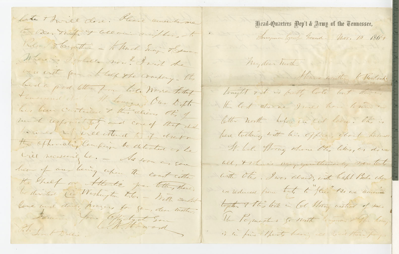late there close. Heare unewhere To Den trup of allowing mighting - to Kilond Therethe - to Unch Surge Theman Where is Irobello non? I wish the we with four thelex the company. Its bed a good letter from bale Worker Letter tamend it - It. Louis Der Dift. be been curtain & this relieve to of und responsibility and cone of that this la avec in ville ettend to it treat the approaching Compain to detected or he vier recessionique. - As soon es san been of an being when the coast citter the help or Attentie Jon. tothe, There be directed Die Workersten D.C. - With content love and daily known for goin, don mothers Denvis Your Officty Low

Head-Quarters Dep't & Army of the Tennessee, Inequent Gray Ground - Nov. 10 1864 Shave written to Rowland

Mydear Twother with tonight out is butt, late but there. the last chance I mee how hand a letter north before in cut loose. The is bere tolling with his office, short business W. led. Horang whom the lives, as down all, totale is any quitteriesty now test with Otis, I was about, with baht Bele the cre reduced from tout to fluis" the we remain together + the look in Col Strong without of suce. the Poymartes to north towards - The Knay is in fine thirts hang as wait their for.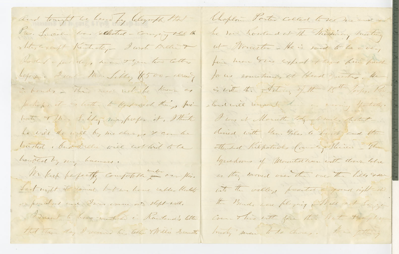and tonight we heard by leleyaft that The Succession was sellected - Company vel the states are aft Kentuckey - I wrote Bullion Howland a few days have the few two letters Lefore. I want Me. Little \$500- reready in bonds - This week with the Known of perhaps it is letter to Keep sech things foribut The feller maybreper it, That he will do will by me down I conten tracted Mudukelli vier will with to be troubled by my business. We keep befectly compotable into our flies. Sunt night it rained but we have ruble blockets or pouchas and Door varme and steps and. Derent to have martined in Rowland's letter that They day I received his teller Millie Security

be no howland at the Mission, meeting ut Novester - He is said to be avery fine hear the expect there him freed for us cometime, at Head queste, the is with the Article, of the 15th Joshy. Par standarde remember de completation I was it Monette tody to with, thatat dived with hear Diles to huits and the Mended Kilpatricks Court Meiner - Un Ignadions of Mountainen with down lobre in they moved over the one the lies som

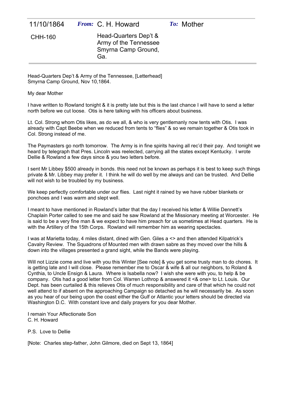| 11/10/1864 | <i>From:</i> C. H. Howard                                                    | To: Mother |  |
|------------|------------------------------------------------------------------------------|------------|--|
| CHH-160    | Head-Quarters Dep't &<br>Army of the Tennessee<br>Smyrna Camp Ground,<br>Ga. |            |  |

Head-Quarters Dep't & Army of the Tennessee, [Letterhead] Smyrna Camp Ground, Nov 10,1864.

My dear Mother

I have written to Rowland tonight & it is pretty late but this is the last chance I will have to send a letter north before we cut loose. Otis is here talking with his officers about business.

Lt. Col. Strong whom Otis likes, as do we all, & who is very gentlemanly now tents with Otis. I was already with Capt Beebe when we reduced from tents to "flies" & so we remain together & Otis took in Col. Strong instead of me.

The Paymasters go north tomorrow. The Army is in fine spirits having all rec'd their pay. And tonight we heard by telegraph that Pres. Lincoln was reelected, carrying all the states except Kentucky. I wrote Dellie & Rowland a few days since & you two letters before.

I sent Mr Libbey \$500 already in bonds. this need not be known as perhaps it is best to keep such things private & Mr. Libbey may prefer it. I think he will do well by me always and can be trusted. And Dellie will not wish to be troubled by my business.

We keep perfectly comfortable under our flies. Last night it rained by we have rubber blankets or ponchoes and I was warm and slept well.

I meant to have mentioned in Rowland's latter that the day I received his letter & Willie Dennett's Chaplain Porter called to see me and said he saw Rowland at the Missionary meeting at Worcester. He is said to be a very fine man & we expect to have him preach for us sometimes at Head quarters. He is with the Artillery of the 15th Corps. Rowland will remember him as wearing spectacles.

I was at Marietta today, 4 miles distant, dined with Gen. Giles a <> and then attended Kilpatrick's Cavalry Review. The Squadrons of Mounted men with drawn sabre as they moved over the hills & down into the villages presented a grand sight, while the Bands were playing.

Will not Lizzie come and live with you this Winter [See note] & you get some trusty man to do chores. It is getting late and I will close. Please remember me to Oscar & wife & all our neighbors, to Roland & Cynthia, to Uncle Ensign & Laura. Where is Isabella now? I wish she were with you, to help & be company. Otis had a good letter from Col. Warren Lothrop & answered it <& one> to Lt. Louis. Our Dept. has been curtailed & this relieves Otis of much responsibility and care of that which he could not well attend to if absent on the approaching Campaign so detached as he will necessarily be. As soon as you hear of our being upon the coast either the Gulf or Atlantic your letters should be directed via Washington D.C. With constant love and daily prayers for you dear Mother.

I remain Your Affectionate Son C. H. Howard

P.S. Love to Dellie

[Note: Charles step-father, John Gilmore, died on Sept 13, 1864]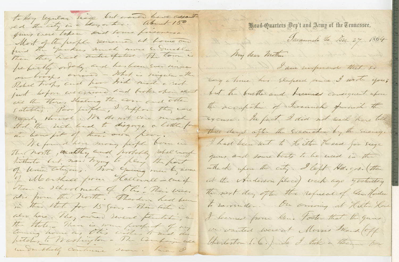to log legular siege but word have assait Frad-Quarters Dep't and Army of the Tennessee, Jung were loken bud tome prisoners. Davannele 2a. Duc. 27 1864 Most of the people removed at home and find the youkers much more suderable. My dear mother and the world befieldly orderly and has been sver more I am inferience that so on troops owner - What is ringular-the long a time has Elepand price I wrote you; Robert troops and how trick made a rich just before we assured and broke them about but the burther and hummes consequent whom all the Theres dealing the core and other the accupation of Savannach furnish the Eatables. Par faith, I neppose they were nearly throat. We do not care much Exense. In fact I did not reach here till that the rich had to disginge a little for three days after the Evacuation by the Survey. the benefit of their own par, We found here many profile born in I had been let to the thou Head for siege The North, weakly and probably rebel sungle Jun and some boats to be used in the tatheto but now trying to play the post of Union Citizens. Two Going men by name which where the city. I left Hd. g.s. (then of Moorthace from Hallowell - one of at the Anderson place) week ago gesterday There a school mate of the Their wine. The next day often the refusal of Sen Horden the from the North. Theodore had been to Larrender. On Grising at Helten House in this that for 15 goos - Their list is also here. They owner severe flatshin, an I learned from here. Foster that the guns the thole. There is some forthet of my we wanted were at Morris Mard off burleston S. 6.) to I took a then for underblidg continue non. two O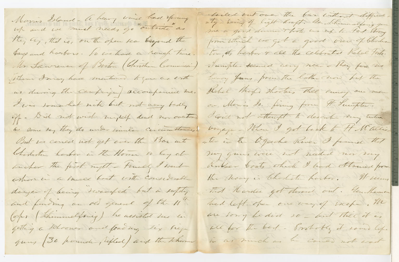Morris Island - A heart wind had spring They by, that is, on the open sea beyond the Joys and harbors. To we had a rough time. Mr Saurence of Boston (Christian Commissie) Them Imay have mentioned to you as eath us during the company accompanied me. I was tomarket nik but not very tedly of - Did not wish myself dead nor overtoon as some tay they do under similar concumitances! But we cancel not get over the Bar into Charleston harbor in the Home to bay at incher the first night - truely I went whom in a muce boat with considerable danger of being twoufed but in safety and funding an od general of the 11th Corps (Thummelfonig) he assisted the in getting a Schooner and foaring six siege guns 30 pounder, rifled ) and the thorne

lailed out one. The bar without difficule. from which we get a good view of theler to, it's harbor of all the celebrated Hole tim. Sumple- seemed very near - They fire we heavy Jans from the latter was but the Hebel though shooters thee camoy our men on Monis do. fining from It Sumpton. I could not attempt to describe very take voyage - When I got back to H Wallis ater in the Oggedhe River I found that my gun were not needed now my Kubber boats which I had obtained from the newy in the harden. It seems That Hander got deroud out. You Hermon had left ofen one way of siche. The are long be did so - but there it is all for the best - Postofly it some life in as much as the could not erat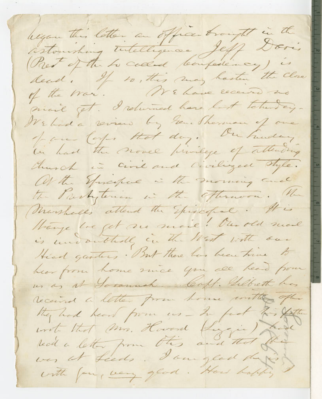leigen this letter an office brought in the astouching testelligence Jeff Doris (Prest of the to collect boutakinary) is dead. If to, this may hasten the close of the war. WE have receive no mail get. I returned have last taken ay-We had a various by rene Sharmon of one for lope that day. On huden an had the nome privilege of attending Church in Civil and Civilized Tyle. At the Spreakere in the morning and the Partytenan in the offernoon. He (Marshalls attend the Spixedfall. It is though the get no mail! Our old mail is undoubtedly in the West with seen Head gasters. But there has been trive to har form home since you are head from us as at Soonnah Caft. Selbeth has received a letter from home unthe offer they had heard from us - In fact to father unit that Min. Howard Kinggin ) hade was at Leeds. I am glad dig with four very glad. How happy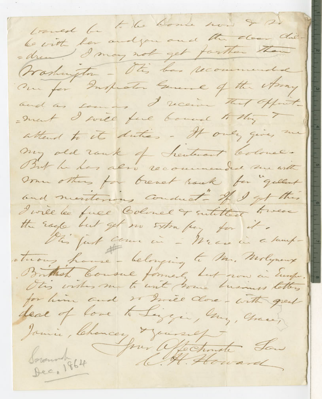travest be to the home now & s) to with her and you and the door die-= drew! I may not get farther than Workington - Otes bar recommended Our for Inspeaks General of the Army and as somes I receive that offort - ment I will find bound to thing I attend to it duties - It only gives me my old rank of heuterant Colonel. But he has also recommended me ante Ormer others for breach rock for gellent and menterious conduct - If I get this I will be fuel Colonel or sutitled towere the Eagle but get no strategy for it. This furt come in - WE are in a lampstrong have - belonging to Mr. Molyneux Britash Cousul formed but now in Europe. for him and so mie done - with great deal of love to Lingen, My, Chang Jamie, Chancer Mansief Soronnt 864 Jour Offectionate Low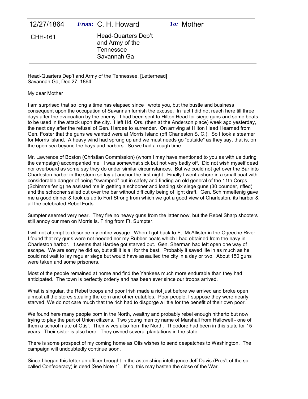| 12/27/1864 | <i>From:</i> C. H. Howard                                                 | To: Mother |  |
|------------|---------------------------------------------------------------------------|------------|--|
| CHH-161    | Head-Quarters Dep't<br>and Army of the<br><b>Tennessee</b><br>Savannah Ga |            |  |
|            |                                                                           |            |  |

Head-Quarters Dep't and Army of the Tennessee, [Letterhead] Savannah Ga, Dec 27, 1864

## My dear Mother

I am surprised that so long a time has elapsed since I wrote you, but the bustle and business consequent upon the occupation of Savannah furnish the excuse. In fact I did not reach here till three days after the evacuation by the enemy. I had been sent to Hilton Head for siege guns and some boats to be used in the attack upon the city. I left Hd. Qrs. (then at the Anderson place) week ago yesterday, the next day after the refusal of Gen. Hardee to surrender. On arriving at Hilton Head I learned from Gen. Foster that the guns we wanted were at Morris Island (off Charleston S. C.). So I took a steamer for Morris Island. A heavy wind had sprung up and we must needs go "outside" as they say, that is, on the open sea beyond the bays and harbors. So we had a rough time.

Mr. Lawrence of Boston (Christian Commission) (whom I may have mentioned to you as with us during the campaign) accompanied me. I was somewhat sick but not very badly off. Did not wish myself dead nor overboard as some say they do under similar circumstances. But we could not get over the Bar into Charleston harbor in the storm so lay at anchor the first night. Finally I went ashore in a small boat with considerable danger of being "swamped" but in safety and finding an old general of the 11th Corps (Schimmelfenig) he assisted me in getting a schooner and loading six siege guns (30 pounder, rifled) and the schooner sailed out over the bar without difficulty being of light draft. Gen. Schimmelfenig gave me a good dinner & took us up to Fort Strong from which we got a good view of Charleston, its harbor & all the celebrated Rebel Forts.

Sumpter seemed very near. They fire no heavy guns from the latter now, but the Rebel Sharp shooters still annoy our men on Morris Is. Firing from Ft. Sumpter.

I will not attempt to describe my entire voyage. When I got back to Ft. McAllister in the Ogeeche River. I found that my guns were not needed nor my Rubber boats which I had obtained from the navy in Charleston harbor. It seems that Hardee got starved out. Gen. Sherman had left open one way of escape. We are sorry he did so, but still it is all for the best. Probably it saved life in as much as he could not wait to lay regular siege but would have assaulted the city in a day or two. About 150 guns were taken and some prisoners.

Most of the people remained at home and find the Yankees much more endurable than they had anticipated. The town is perfectly orderly and has been ever since our troops arrived.

What is singular, the Rebel troops and poor Irish made a riot just before we arrived and broke open almost all the stores stealing the corn and other eatables. Poor people, I suppose they were nearly starved. We do not care much that the rich had to disgorge a little for the benefit of their own poor.

We found here many people born in the North, wealthy and probably rebel enough hitherto but now trying to play the part of Union citizens. Two young men by name of Marshall from Hallowell - one of them a school mate of Otis'. Their wives also from the North. Theodore had been in this state for 15 years. Their sister is also here. They owned several plantations in the state.

There is some prospect of my coming home as Otis wishes to send despatches to Washington. The campaign will undoubtedly continue soon.

Since I began this letter an officer brought in the astonishing intelligence Jeff Davis (Pres't of the so called Confederacy) is dead [See Note 1]. If so, this may hasten the close of the War.